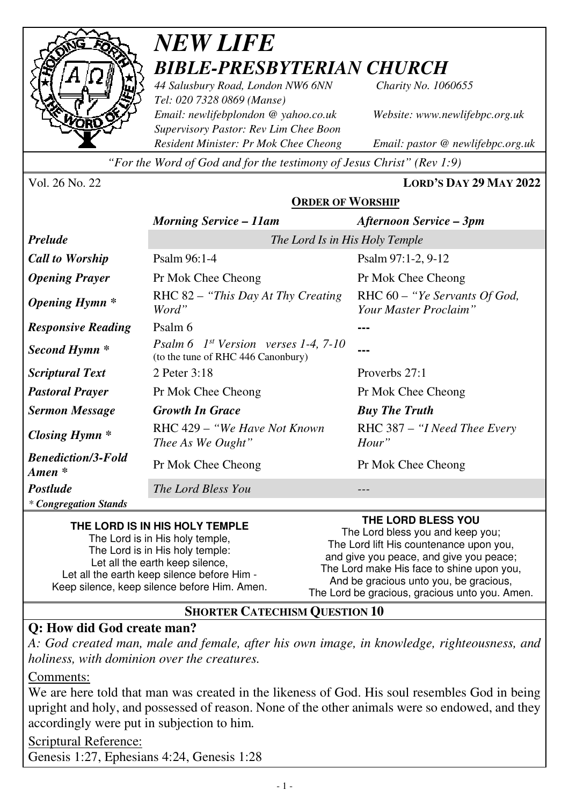

### *NEW LIFE BIBLE-PRESBYTERIAN CHURCH*

*44 Salusbury Road, London NW6 6NN Charity No. 1060655 Tel: 020 7328 0869 (Manse) Email: newlifebplondon @ yahoo.co.uk Website: www.newlifebpc.org.uk Supervisory Pastor: Rev Lim Chee Boon Resident Minister: Pr Mok Chee Cheong Email: pastor @ newlifebpc.org.uk* 

*"For the Word of God and for the testimony of Jesus Christ" (Rev 1:9)*

Vol. 26 No. 22 **LORD'S DAY 29 MAY 2022**

### **ORDER OF WORSHIP**

|                                                 | <b>Morning Service – 11am</b>                                                   | Afternoon Service – 3pm                                |
|-------------------------------------------------|---------------------------------------------------------------------------------|--------------------------------------------------------|
| <b>Prelude</b>                                  | The Lord Is in His Holy Temple                                                  |                                                        |
| <b>Call to Worship</b>                          | Psalm 96:1-4                                                                    | Psalm $97:1-2, 9-12$                                   |
| <b>Opening Prayer</b>                           | Pr Mok Chee Cheong                                                              | Pr Mok Chee Cheong                                     |
| <b>Opening Hymn</b> *                           | RHC 82 – "This Day At Thy Creating"<br>Word"                                    | RHC 60 – "Ye Servants Of God,<br>Your Master Proclaim" |
| <b>Responsive Reading</b>                       | Psalm 6                                                                         |                                                        |
| Second Hymn *                                   | Psalm 6 $1^{st}$ Version verses 1-4, 7-10<br>(to the tune of RHC 446 Canonbury) |                                                        |
| <b>Scriptural Text</b>                          | 2 Peter 3:18                                                                    | Proverbs 27:1                                          |
| <b>Pastoral Prayer</b>                          | Pr Mok Chee Cheong                                                              | Pr Mok Chee Cheong                                     |
| <b>Sermon Message</b>                           | <b>Growth In Grace</b>                                                          | <b>Buy The Truth</b>                                   |
| <b>Closing Hymn</b> *                           | RHC 429 – "We Have Not Known"<br>Thee As We Ought"                              | RHC 387 – "I Need Thee Every"<br>Hour"                 |
| <b>Benediction/3-Fold</b><br>$A$ <i>men</i> $*$ | Pr Mok Chee Cheong                                                              | Pr Mok Chee Cheong                                     |
| <b>Postlude</b>                                 | The Lord Bless You                                                              |                                                        |
| * Congregation Stands                           |                                                                                 |                                                        |

#### **THE LORD IS IN HIS HOLY TEMPLE**

The Lord is in His holy temple, The Lord is in His holy temple: Let all the earth keep silence, Let all the earth keep silence before Him - Keep silence, keep silence before Him. Amen. **THE LORD BLESS YOU** 

The Lord bless you and keep you; The Lord lift His countenance upon you, and give you peace, and give you peace; The Lord make His face to shine upon you, And be gracious unto you, be gracious, The Lord be gracious, gracious unto you. Amen.

### **SHORTER CATECHISM QUESTION 10**

### **Q: How did God create man?**

*A: God created man, male and female, after his own image, in knowledge, righteousness, and holiness, with dominion over the creatures.* 

Comments:

We are here told that man was created in the likeness of God. His soul resembles God in being upright and holy, and possessed of reason. None of the other animals were so endowed, and they accordingly were put in subjection to him*.*

Scriptural Reference:

Genesis 1:27, Ephesians 4:24, Genesis 1:28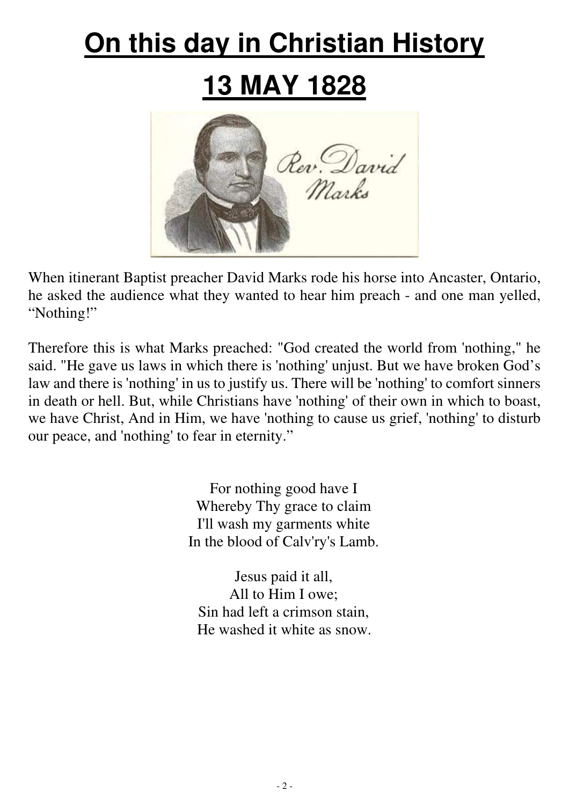# **On this day in Christian History**

## **13 MAY 1828**



When itinerant Baptist preacher David Marks rode his horse into Ancaster, Ontario, he asked the audience what they wanted to hear him preach - and one man yelled, "Nothing!"

Therefore this is what Marks preached: "God created the world from 'nothing," he said. "He gave us laws in which there is 'nothing' unjust. But we have broken God's law and there is 'nothing' in us to justify us. There will be 'nothing' to comfort sinners in death or hell. But, while Christians have 'nothing' of their own in which to boast, we have Christ, And in Him, we have 'nothing to cause us grief, 'nothing' to disturb our peace, and 'nothing' to fear in eternity."

> For nothing good have I Whereby Thy grace to claim I'll wash my garments white In the blood of Calv'ry's Lamb.

Jesus paid it all, All to Him I owe; Sin had left a crimson stain, He washed it white as snow.